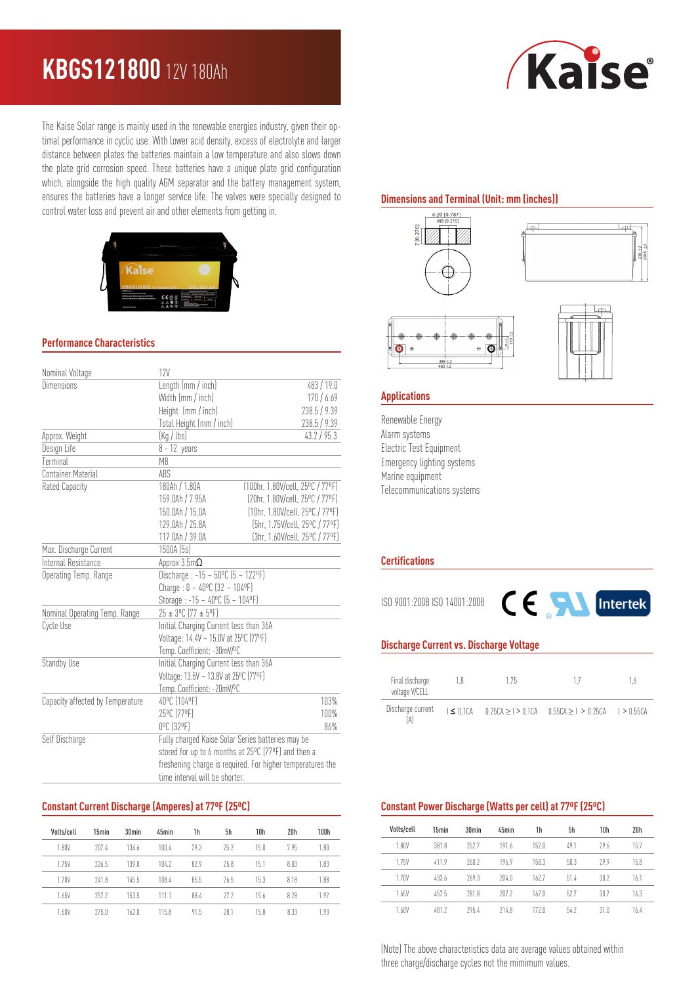## **KBGS121800** 12V 180Ah

The Kaise Solar range is mainly used in the renewable energies industry, given their optimal performance in cyclic use. With lower acid density, excess of electrolyte and larger distance between plates the batteries maintain a low temperature and also slows down the plate grid corrosion speed. These batteries have a unique plate grid configuration which, alongside the high quality AGM separator and the battery management system, ensures the batteries have a longer service life. The valves were specially designed to control water loss and prevent air and other elements from getting in.



#### **Performance Characteristics**

| Nominal Voltage                  | 12V                                                        |                                  |  |  |  |
|----------------------------------|------------------------------------------------------------|----------------------------------|--|--|--|
| Dimensions                       | Length (mm / inch)                                         | 483/19.0                         |  |  |  |
|                                  | Width (mm / inch)                                          | 170/6.69                         |  |  |  |
|                                  | Height (mm / inch)                                         | 238.5 / 9.39                     |  |  |  |
|                                  | Total Height (mm / inch)                                   | 238.5 / 9.39                     |  |  |  |
| Approx. Weight                   | (Kq / lbs)<br>43.2 / 95.3                                  |                                  |  |  |  |
| Design Life                      | $8 - 12$ years                                             |                                  |  |  |  |
| Terminal                         | M <sub>8</sub>                                             |                                  |  |  |  |
| <b>Container Material</b>        | ABS                                                        |                                  |  |  |  |
| Rated Capacity                   | 180Ah / 1.80A                                              | (100hr, 1.80V/cell, 25°C / 77°F) |  |  |  |
|                                  | 159.0Ah / 7.95A                                            | [20hr. 1.80V/cell. 25°C / 77°F]  |  |  |  |
|                                  | 150.0Ah / 15.0A                                            | (10hr, 1.80V/cell, 25°C / 77°F)  |  |  |  |
|                                  | 129.0Ah / 25.8A                                            | [5hr, 1.75V/cell, 25°C / 77°F]   |  |  |  |
|                                  | 117.0Ah / 39.0A                                            | (3hr, 1.60V/cell, 25°C / 77°F)   |  |  |  |
| Max. Discharge Current           | 1500A (5s)                                                 |                                  |  |  |  |
| Internal Resistance              | Approx $3.5m\Omega$                                        |                                  |  |  |  |
| Operating Temp. Range            | Discharge: $-15 - 50^{\circ}$ C (5 ~ 122°F)                |                                  |  |  |  |
|                                  | Charge: $0 - 40^{\circ}C$ (32 ~ 104°F)                     |                                  |  |  |  |
|                                  | Storage: $-15 - 40^{\circ}C$ (5 ~ 104°F)                   |                                  |  |  |  |
| Nominal Operating Temp. Range    | 25 ± 3°C (77 ± 5°F)                                        |                                  |  |  |  |
| Cycle Use                        | Initial Charging Current less than 36A                     |                                  |  |  |  |
|                                  | Voltage: 14.4V ~ 15.0V at 25°C (77°F)                      |                                  |  |  |  |
|                                  | Temp. Coefficient: -30mV/ºC                                |                                  |  |  |  |
| Standby Use                      | Initial Charging Current less than 36A                     |                                  |  |  |  |
|                                  | Voltage: 13.5V ~ 13.8V at 25°C (77°F)                      |                                  |  |  |  |
|                                  | Temp. Coefficient: -20mV/ºC                                |                                  |  |  |  |
| Capacity affected by Temperature | 40°C (104°F)                                               | 103%                             |  |  |  |
|                                  | 25°C (77°F)                                                | 100%                             |  |  |  |
|                                  | 0°C (32°F)                                                 | 86%                              |  |  |  |
| Self Discharge                   | Fully charged Kaise Solar Series batteries may be          |                                  |  |  |  |
|                                  | stored for up to 6 months at 25°C (77°F) and then a        |                                  |  |  |  |
|                                  | freshening charge is required. For higher temperatures the |                                  |  |  |  |
|                                  | time interval will be shorter.                             |                                  |  |  |  |

#### **Constant Current Discharge (Amperes) at 77ºF (25ºC)**

| Volts/cell | 15min | 30 <sub>min</sub> | 45min | 1h   | 5h   | 10 <sub>h</sub> | 20h  | 100h |
|------------|-------|-------------------|-------|------|------|-----------------|------|------|
| 1.80V      | 207.4 | 134.6             | 100.4 | 79.7 | 75.7 | 15 <sub>0</sub> | 7.95 | 1.80 |
| 1.75V      | 776.5 | 1398              | 104.7 | 82.9 | 75.8 | 15.1            | 8.03 | 1.83 |
| 1.70V      | 741.8 | 145.5             | 108.4 | 85.5 | 76.5 | 15.3            | 8.18 | 1.88 |
| 1.65V      | 257.2 | 153.5             | 111.1 | 88.4 | 272  | 156             | 8.28 | 1.97 |
| 1.60V      | 775.0 | 162 <sub>0</sub>  | 115.8 | 91.5 | 281  | 15.8            | 8.33 | 1.93 |

# Kaise

### **Dimensions and Terminal (Unit: mm (inches))**



#### **Applications**

Renewable Energy Alarm systems Electric Test Equipment Emergency lighting systems Marine equipment Telecommunications systems

#### **Certifications**

ISO 9001:2008 ISO 14001:2008



#### **Discharge Current vs. Discharge Voltage**

| Final discharge<br>voltage V/CELL | 18             | 1.75 |                                                             | $16-$ |
|-----------------------------------|----------------|------|-------------------------------------------------------------|-------|
| Discharge current                 | $I \leq 0.1CA$ |      | $0.25CA \ge 1$ > 0.1CA $0.55CA \ge 1$ > 0.25CA $1$ > 0.55CA |       |

#### **Constant Power Discharge (Watts per cell) at 77ºF (25ºC)**

| Volts/cell | 15 <sub>min</sub> | 30 <sub>min</sub> | 45min | 1h               | 5h   | 10 <sub>h</sub> | 20 <sub>h</sub> |
|------------|-------------------|-------------------|-------|------------------|------|-----------------|-----------------|
| 1.80V      | 381.8             | 2527              | 191.6 | 152 <sub>0</sub> | 49.1 | 29.6            | 15.7            |
| 1.75V      | 4119              | 760.7             | 196.9 | 158.3            | 50.3 | 29.9            | 158             |
| 1.70V      | 433.6             | 269.3             | 204.0 | 162.7            | 51.4 | 30.2            | 16.1            |
| 1.65V      | 457.5             | 281.8             | 2072  | 167.0            | 52.7 | 30.7            | 16.3            |
| 1.60V      | 481 2             | 2954              | 714.8 | 172 <sub>0</sub> | 54.7 | 31.0            | 164             |

(Note) The above characteristics data are average values obtained within three charge/discharge cycles not the mimimum values.